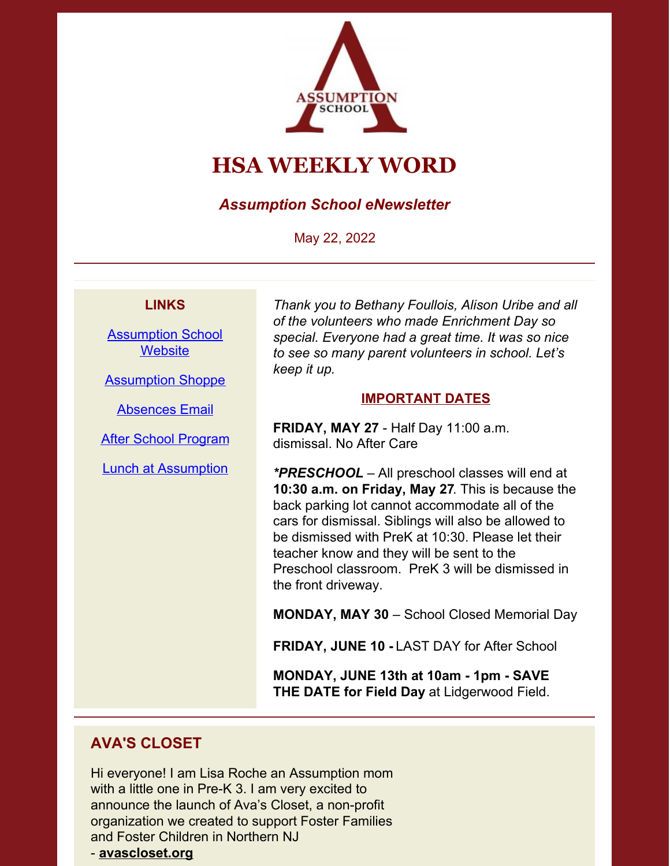

# **HSA WEEKLY WORD**

*Assumption School eNewsletter*

May 22, 2022

#### **LINKS**

[Assumption](https://www.assumptionnj.org/) School **[Website](https://www.assumptionnj.org/)** 

[Assumption](https://assumptionschool.itemorder.com/sale) Shoppe

[Absences](mailto:attendance@assumptionnj.org) Email

After School [Program](https://www.assumptionnj.org/wp-content/uploads/2021/08/After-School-General-Information-website-1.pdf)

Lunch at [Assumption](https://files.constantcontact.com/ba10653a001/6add9be7-c6d9-4c06-b2f3-de0de4d62a3f.pdf?rdr=true)

*Thank you to Bethany Foullois, Alison Uribe and all of the volunteers who made Enrichment Day so special. Everyone had a great time. It was so nice to see so many parent volunteers in school. Let's keep it up.*

#### **IMPORTANT DATES**

**FRIDAY, MAY 27** - Half Day 11:00 a.m. dismissal. No After Care

*\*PRESCHOOL –* All preschool classes will end at **10:30 a.m. on Friday, May 27**. This is because the back parking lot cannot accommodate all of the cars for dismissal. Siblings will also be allowed to be dismissed with PreK at 10:30. Please let their teacher know and they will be sent to the Preschool classroom. PreK 3 will be dismissed in the front driveway.

**MONDAY, MAY 30** – School Closed Memorial Day

**FRIDAY, JUNE 10 -** LAST DAY for After School

**MONDAY, JUNE 13th at 10am - 1pm - SAVE THE DATE for Field Day** at Lidgerwood Field.

#### **AVA'S CLOSET**

Hi everyone! I am Lisa Roche an Assumption mom with a little one in Pre-K 3. I am very excited to announce the launch of Ava's Closet, a non-profit organization we created to support Foster Families and Foster Children in Northern NJ

- **[avascloset.org](https://avascloset.org/)**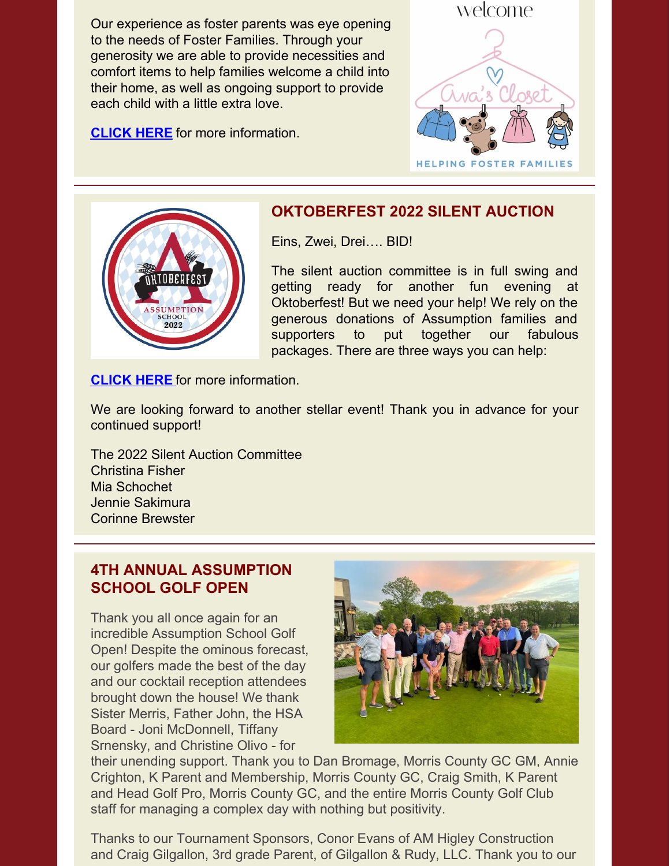Our experience as foster parents was eye opening to the needs of Foster Families. Through your generosity we are able to provide necessities and comfort items to help families welcome a child into their home, as well as ongoing support to provide each child with a little extra love.

**[CLICK](https://www.assumptionnj.org/wp-content/uploads/2022/05/Avas-Closet-5-22-22.pdf) HERE** for more [information.](https://www.assumptionnj.org/wp-content/uploads/2022/05/Avas-Closet-5-22-22.pdf)





#### **OKTOBERFEST 2022 SILENT AUCTION**

Eins, Zwei, Drei…. BID!

The silent auction committee is in full swing and getting ready for another fun evening at Oktoberfest! But we need your help! We rely on the generous donations of Assumption families and supporters to put together our fabulous packages. There are three ways you can help:

**[CLICK](https://www.assumptionnj.org/wp-content/uploads/2022/05/Oktoberfest-WW-Blurb_May-2022.pdf) HERE** for more [information.](https://www.assumptionnj.org/wp-content/uploads/2022/05/Oktoberfest-WW-Blurb_May-2022.pdf)

We are looking forward to another stellar event! Thank you in advance for your continued support!

The 2022 Silent Auction Committee Christina Fisher Mia Schochet Jennie Sakimura Corinne Brewster

#### **4TH ANNUAL ASSUMPTION SCHOOL GOLF OPEN**

Thank you all once again for an incredible Assumption School Golf Open! Despite the ominous forecast, our golfers made the best of the day and our cocktail reception attendees brought down the house! We thank Sister Merris, Father John, the HSA Board - Joni McDonnell, Tiffany Srnensky, and Christine Olivo - for



their unending support. Thank you to Dan Bromage, Morris County GC GM, Annie Crighton, K Parent and Membership, Morris County GC, Craig Smith, K Parent and Head Golf Pro, Morris County GC, and the entire Morris County Golf Club staff for managing a complex day with nothing but positivity.

Thanks to our Tournament Sponsors, Conor Evans of AM Higley Construction and Craig Gilgallon, 3rd grade Parent, of Gilgallon & Rudy, LLC. Thank you to our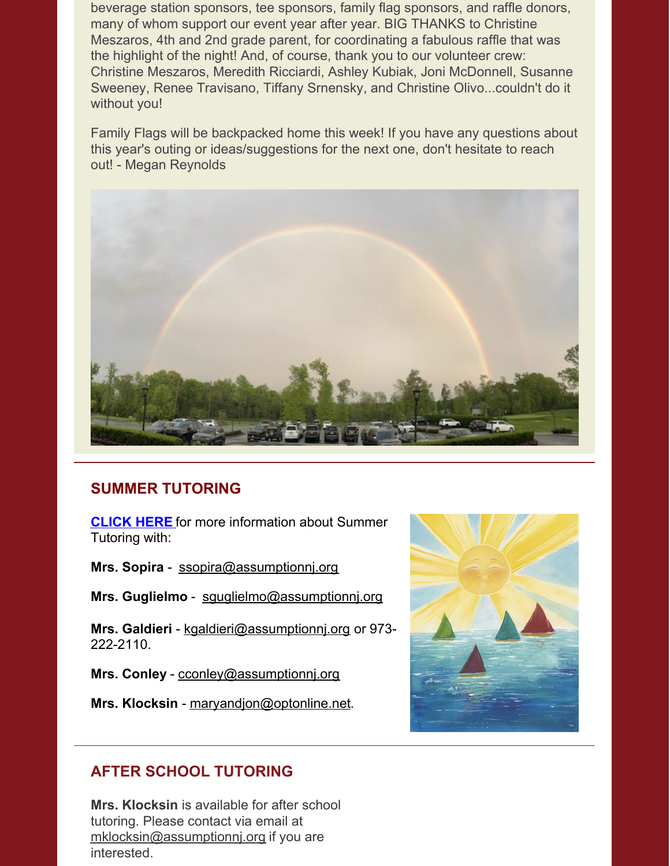beverage station sponsors, tee sponsors, family flag sponsors, and raffle donors, many of whom support our event year after year. BIG THANKS to Christine Meszaros, 4th and 2nd grade parent, for coordinating a fabulous raffle that was the highlight of the night! And, of course, thank you to our volunteer crew: Christine Meszaros, Meredith Ricciardi, Ashley Kubiak, Joni McDonnell, Susanne Sweeney, Renee Travisano, Tiffany Srnensky, and Christine Olivo...couldn't do it without you!

Family Flags will be backpacked home this week! If you have any questions about this year's outing or ideas/suggestions for the next one, don't hesitate to reach out! - Megan Reynolds



# **SUMMER TUTORING**

**[CLICK](https://www.assumptionnj.org/wp-content/uploads/2022/05/SUMMER-TUTORING-2022.pdf) HERE** for more information about Summer Tutoring with:

**Mrs. Sopira** - [ssopira@assumptionnj.org](mailto:ssopira@assumptionnj.org)

**Mrs. Guglielmo** - [sguglielmo@assumptionnj.org](mailto:sguglielmo@assumptionnj.org)

**Mrs. Galdieri** - [kgaldieri@assumptionnj.org](mailto:kgaldieri@assumptionnj.org) or 973- 222-2110.

**Mrs. Conley** - [cconley@assumptionnj.org](mailto:cconley@assumptionnj.org)

**Mrs. Klocksin** - [maryandjon@optonline.net](mailto:maryandjon@optonline.net).



# **AFTER SCHOOL TUTORING**

**Mrs. Klocksin** is available for after school tutoring. Please contact via email at [mklocksin@assumptionnj.org](mailto:mklocksin@assumptionnj.org) if you are interested.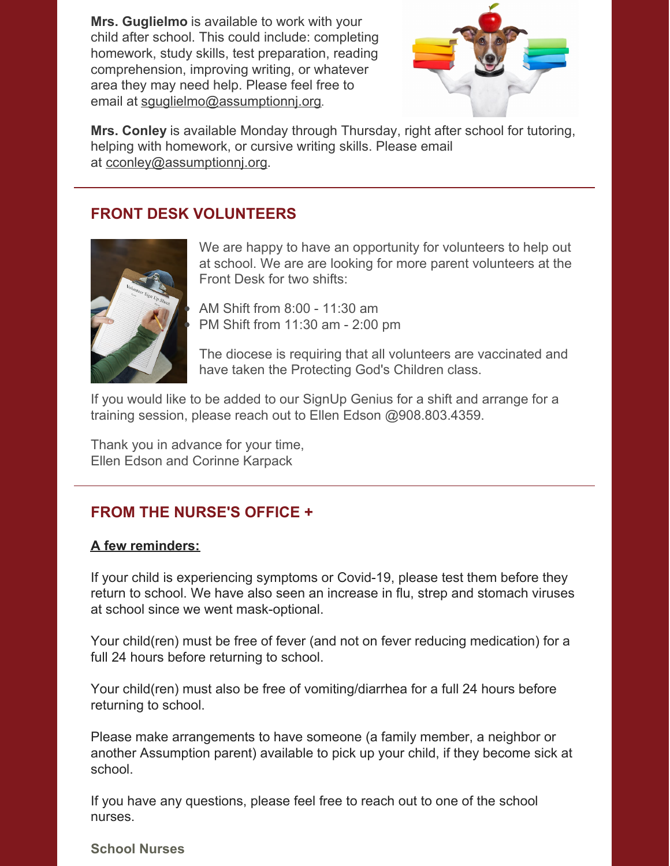**Mrs. Guglielmo** is available to work with your child after school. This could include: completing homework, study skills, test preparation, reading comprehension, improving writing, or whatever area they may need help. Please feel free to email at [sguglielmo@assumptionnj.org](mailto:sguglielmo@assumptionnj.org).



**Mrs. Conley** is available Monday through Thursday, right after school for tutoring, helping with homework, or cursive writing skills. Please email at [cconley@assumptionnj.org](mailto:cconley@assumptionnj.org).

#### **FRONT DESK VOLUNTEERS**



We are happy to have an opportunity for volunteers to help out at school. We are are looking for more parent volunteers at the Front Desk for two shifts:

AM Shift from 8:00 - 11:30 am PM Shift from 11:30 am - 2:00 pm

The diocese is requiring that all volunteers are vaccinated and have taken the Protecting God's Children class.

If you would like to be added to our SignUp Genius for a shift and arrange for a training session, please reach out to Ellen Edson @908.803.4359.

Thank you in advance for your time, Ellen Edson and Corinne Karpack

# **FROM THE NURSE'S OFFICE +**

#### **A few reminders:**

If your child is experiencing symptoms or Covid-19, please test them before they return to school. We have also seen an increase in flu, strep and stomach viruses at school since we went mask-optional.

Your child(ren) must be free of fever (and not on fever reducing medication) for a full 24 hours before returning to school.

Your child(ren) must also be free of vomiting/diarrhea for a full 24 hours before returning to school.

Please make arrangements to have someone (a family member, a neighbor or another Assumption parent) available to pick up your child, if they become sick at school.

If you have any questions, please feel free to reach out to one of the school nurses.

#### **School Nurses**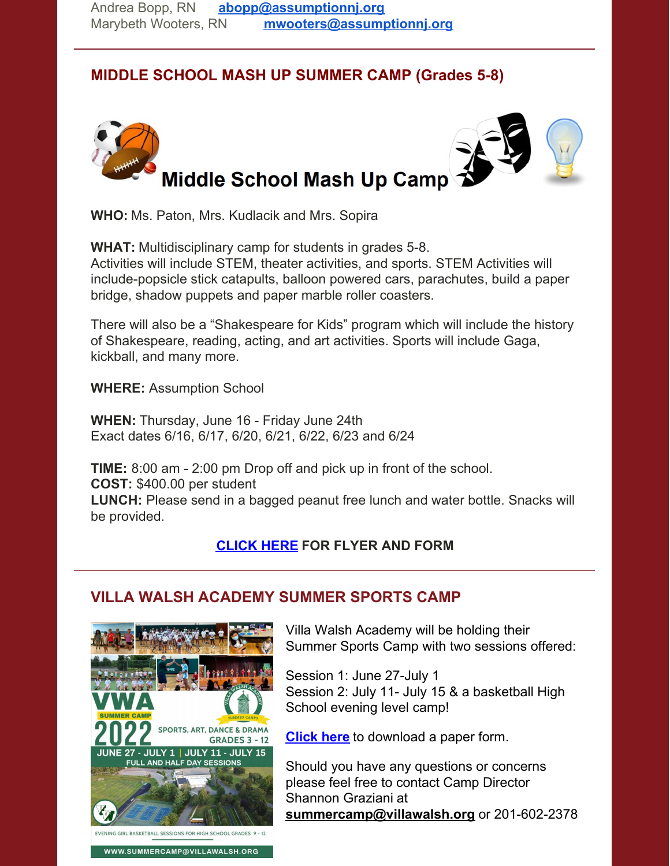# **MIDDLE SCHOOL MASH UP SUMMER CAMP (Grades 5-8)**



**WHO:** Ms. Paton, Mrs. Kudlacik and Mrs. Sopira

**WHAT:** Multidisciplinary camp for students in grades 5-8. Activities will include STEM, theater activities, and sports. STEM Activities will include-popsicle stick catapults, balloon powered cars, parachutes, build a paper bridge, shadow puppets and paper marble roller coasters.

There will also be a "Shakespeare for Kids" program which will include the history of Shakespeare, reading, acting, and art activities. Sports will include Gaga, kickball, and many more.

**WHERE:** Assumption School

**WHEN:** Thursday, June 16 - Friday June 24th Exact dates 6/16, 6/17, 6/20, 6/21, 6/22, 6/23 and 6/24

**TIME:** 8:00 am - 2:00 pm Drop off and pick up in front of the school. **COST:** \$400.00 per student **LUNCH:** Please send in a bagged peanut free lunch and water bottle. Snacks will be provided.

# **[CLICK](https://www.assumptionnj.org/wp-content/uploads/2022/03/Middle-School-Mash-Up-Camp.pdf) HERE FOR FLYER AND FORM**

# **VILLA WALSH ACADEMY SUMMER SPORTS CAMP**



Villa Walsh Academy will be holding their Summer Sports Camp with two sessions offered:

Session 1: June 27-July 1 Session 2: July 11- July 15 & a basketball High School evening level camp!

**[Click](https://www.assumptionnj.org/wp-content/uploads/2022/01/Villa-Walsh-form-2022.pdf) here** to download a paper form.

Should you have any questions or concerns please feel free to contact Camp Director Shannon Graziani at **[summercamp@villawalsh.org](mailto:summercamp@villawalsh.org)** or 201-602-2378

WWW.SUMMERCAMP@VILLAWALSH.ORG